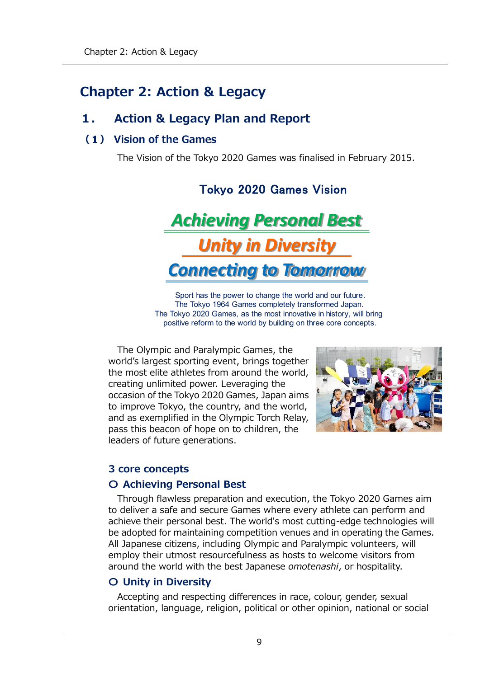# **Chapter 2: Action & Legacy**

## **1. Action & Legacy Plan and Report**

Τ

### (1) Vision of the Games

The Vision of the Tokyo 2020 Games was finalised in February 2015.

**Achieving Personal Best Unity in Diversity Connecting to Tomorrow** 

Sport has the power to change the world and our future. The Tokyo 1964 Games completely transformed Japan. The Tokyo 2020 Games, as the most innovative in history, will bring positive reform to the world by building on three core concepts.

The Olympic and Paralympic Games, the world's largest sporting event, brings together the most elite athletes from around the world, creating unlimited power. Leveraging the occasion of the Tokyo 2020 Games, Japan aims to improve Tokyo, the country, and the world, and as exemplified in the Olympic Torch Relay, pass this beacon of hope on to children, the leaders of future generations.



### **3 core concepts**

### **〇 Achieving Personal Best**

Through flawless preparation and execution, the Tokyo 2020 Games aim to deliver a safe and secure Games where every athlete can perform and achieve their personal best. The world's most cutting-edge technologies will be adopted for maintaining competition venues and in operating the Games. All Japanese citizens, including Olympic and Paralympic volunteers, will employ their utmost resourcefulness as hosts to welcome visitors from around the world with the best Japanese *omotenashi*, or hospitality.

### **〇 Unity in Diversity**

Accepting and respecting differences in race, colour, gender, sexual orientation, language, religion, political or other opinion, national or social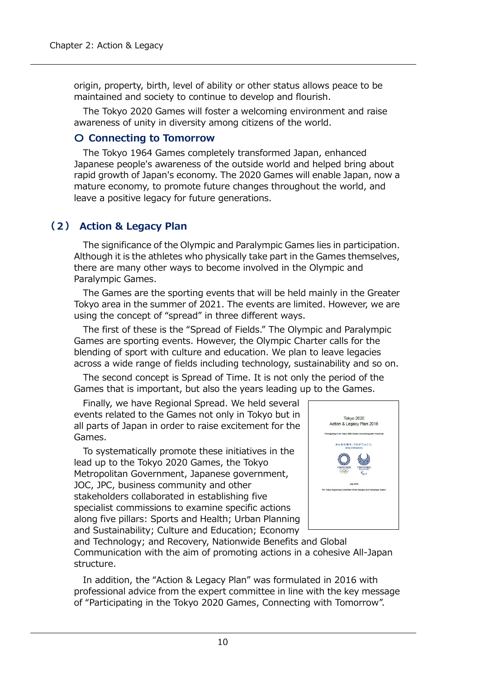origin, property, birth, level of ability or other status allows peace to be maintained and society to continue to develop and flourish.

The Tokyo 2020 Games will foster a welcoming environment and raise awareness of unity in diversity among citizens of the world.

#### **〇 Connecting to Tomorrow**

The Tokyo 1964 Games completely transformed Japan, enhanced Japanese people's awareness of the outside world and helped bring about rapid growth of Japan's economy. The 2020 Games will enable Japan, now a mature economy, to promote future changes throughout the world, and leave a positive legacy for future generations.

### **(2) Action & Legacy Plan**

The significance of the Olympic and Paralympic Games lies in participation. Although it is the athletes who physically take part in the Games themselves, there are many other ways to become involved in the Olympic and Paralympic Games.

The Games are the sporting events that will be held mainly in the Greater Tokyo area in the summer of 2021. The events are limited. However, we are using the concept of "spread" in three different ways.

The first of these is the "Spread of Fields." The Olympic and Paralympic Games are sporting events. However, the Olympic Charter calls for the blending of sport with culture and education. We plan to leave legacies across a wide range of fields including technology, sustainability and so on.

The second concept is Spread of Time. It is not only the period of the Games that is important, but also the years leading up to the Games.

Finally, we have Regional Spread. We held several events related to the Games not only in Tokyo but in all parts of Japan in order to raise excitement for the Games.

To systematically promote these initiatives in the lead up to the Tokyo 2020 Games, the Tokyo Metropolitan Government, Japanese government, JOC, JPC, business community and other stakeholders collaborated in establishing five specialist commissions to examine specific actions along five pillars: Sports and Health; Urban Planning and Sustainability; Culture and Education; Economy



and Technology; and Recovery, Nationwide Benefits and Global Communication with the aim of promoting actions in a cohesive All-Japan structure.

In addition, the "Action & Legacy Plan" was formulated in 2016 with professional advice from the expert committee in line with the key message of "Participating in the Tokyo 2020 Games, Connecting with Tomorrow".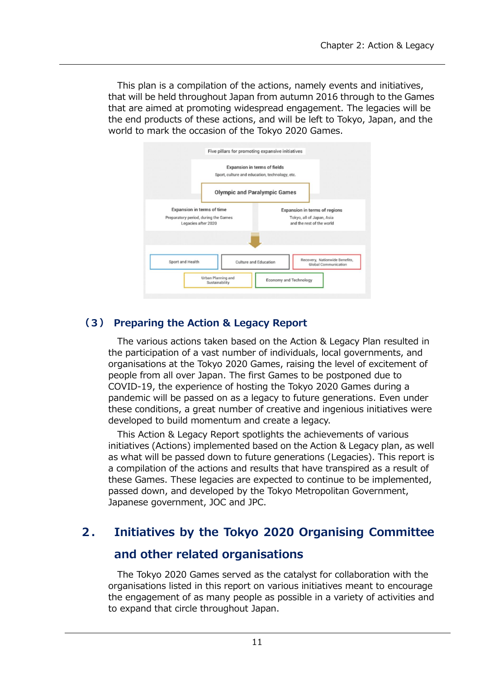This plan is a compilation of the actions, namely events and initiatives, that will be held throughout Japan from autumn 2016 through to the Games that are aimed at promoting widespread engagement. The legacies will be the end products of these actions, and will be left to Tokyo, Japan, and the world to mark the occasion of the Tokyo 2020 Games.



### **(3) Preparing the Action & Legacy Report**

The various actions taken based on the Action & Legacy Plan resulted in the participation of a vast number of individuals, local governments, and organisations at the Tokyo 2020 Games, raising the level of excitement of people from all over Japan. The first Games to be postponed due to COVID-19, the experience of hosting the Tokyo 2020 Games during a pandemic will be passed on as a legacy to future generations. Even under these conditions, a great number of creative and ingenious initiatives were developed to build momentum and create a legacy.

This Action & Legacy Report spotlights the achievements of various initiatives (Actions) implemented based on the Action & Legacy plan, as well as what will be passed down to future generations (Legacies). This report is a compilation of the actions and results that have transpired as a result of these Games. These legacies are expected to continue to be implemented, passed down, and developed by the Tokyo Metropolitan Government, Japanese government, JOC and JPC.

## **2. Initiatives by the Tokyo 2020 Organising Committee**

### **and other related organisations**

The Tokyo 2020 Games served as the catalyst for collaboration with the organisations listed in this report on various initiatives meant to encourage the engagement of as many people as possible in a variety of activities and to expand that circle throughout Japan.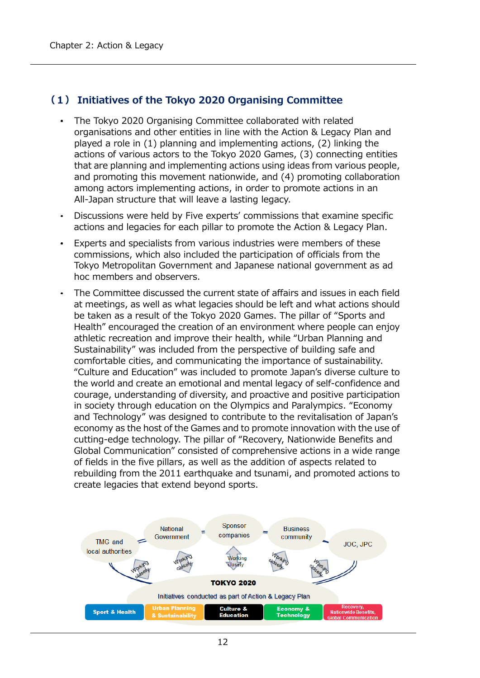### **(1) Initiatives of the Tokyo 2020 Organising Committee**

- The Tokyo 2020 Organising Committee collaborated with related organisations and other entities in line with the Action & Legacy Plan and played a role in (1) planning and implementing actions, (2) linking the actions of various actors to the Tokyo 2020 Games, (3) connecting entities that are planning and implementing actions using ideas from various people, and promoting this movement nationwide, and (4) promoting collaboration among actors implementing actions, in order to promote actions in an All-Japan structure that will leave a lasting legacy.
- Discussions were held by Five experts' commissions that examine specific actions and legacies for each pillar to promote the Action & Legacy Plan.
- Experts and specialists from various industries were members of these commissions, which also included the participation of officials from the Tokyo Metropolitan Government and Japanese national government as ad hoc members and observers.
- The Committee discussed the current state of affairs and issues in each field  $\bullet$ at meetings, as well as what legacies should be left and what actions should be taken as a result of the Tokyo 2020 Games. The pillar of "Sports and Health" encouraged the creation of an environment where people can enjoy athletic recreation and improve their health, while "Urban Planning and Sustainability" was included from the perspective of building safe and comfortable cities, and communicating the importance of sustainability. "Culture and Education" was included to promote Japan's diverse culture to the world and create an emotional and mental legacy of self-confidence and courage, understanding of diversity, and proactive and positive participation in society through education on the Olympics and Paralympics. "Economy and Technology" was designed to contribute to the revitalisation of Japan's economy as the host of the Games and to promote innovation with the use of cutting-edge technology. The pillar of "Recovery, Nationwide Benefits and Global Communication" consisted of comprehensive actions in a wide range of fields in the five pillars, as well as the addition of aspects related to rebuilding from the 2011 earthquake and tsunami, and promoted actions to create legacies that extend beyond sports.

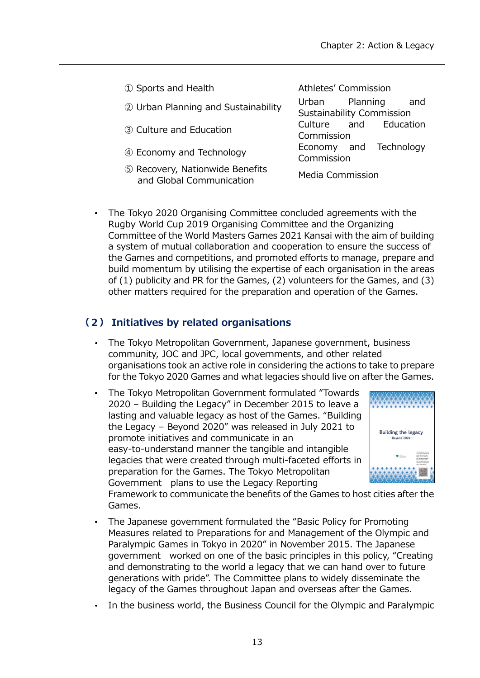| 1 Sports and Health                                         | Athletes' Commission                               |
|-------------------------------------------------------------|----------------------------------------------------|
| 2 Urban Planning and Sustainability                         | Urban Planning<br>and<br>Sustainability Commission |
| 3 Culture and Education                                     | Culture and Education<br>Commission                |
| 4 Economy and Technology                                    | Economy and Technology<br>Commission               |
| 5 Recovery, Nationwide Benefits<br>and Global Communication | Media Commission                                   |

The Tokyo 2020 Organising Committee concluded agreements with the Rugby World Cup 2019 Organising Committee and the Organizing Committee of the World Masters Games 2021 Kansai with the aim of building a system of mutual collaboration and cooperation to ensure the success of the Games and competitions, and promoted efforts to manage, prepare and build momentum by utilising the expertise of each organisation in the areas of (1) publicity and PR for the Games, (2) volunteers for the Games, and (3) other matters required for the preparation and operation of the Games.

### **(2) Initiatives by related organisations**

- The Tokyo Metropolitan Government, Japanese government, business community, JOC and JPC, local governments, and other related organisations took an active role in considering the actions to take to prepare for the Tokyo 2020 Games and what legacies should live on after the Games.
- The Tokyo Metropolitan Government formulated "Towards 2020 – Building the Legacy" in December 2015 to leave a lasting and valuable legacy as host of the Games. "Building the Legacy – Beyond 2020" was released in July 2021 to promote initiatives and communicate in an easy-to-understand manner the tangible and intangible legacies that were created through multi-faceted efforts in preparation for the Games. The Tokyo Metropolitan Government plans to use the Legacy Reporting



Framework to communicate the benefits of the Games to host cities after the Games.

- The Japanese government formulated the "Basic Policy for Promoting Measures related to Preparations for and Management of the Olympic and Paralympic Games in Tokyo in 2020" in November 2015. The Japanese government worked on one of the basic principles in this policy, "Creating and demonstrating to the world a legacy that we can hand over to future generations with pride". The Committee plans to widely disseminate the legacy of the Games throughout Japan and overseas after the Games.
- In the business world, the Business Council for the Olympic and Paralympic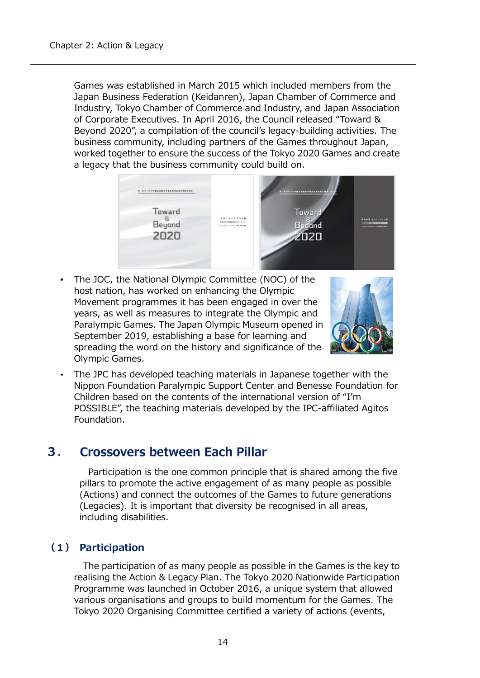Games was established in March 2015 which included members from the Japan Business Federation (Keidanren), Japan Chamber of Commerce and Industry, Tokyo Chamber of Commerce and Industry, and Japan Association of Corporate Executives. In April 2016, the Council released "Toward & Beyond 2020", a compilation of the council's legacy-building activities. The business community, including partners of the Games throughout Japan, worked together to ensure the success of the Tokyo 2020 Games and create a legacy that the business community could build on.



The JOC, the National Olympic Committee (NOC) of the host nation, has worked on enhancing the Olympic Movement programmes it has been engaged in over the years, as well as measures to integrate the Olympic and Paralympic Games. The Japan Olympic Museum opened in September 2019, establishing a base for learning and spreading the word on the history and significance of the Olympic Games.



The JPC has developed teaching materials in Japanese together with the Nippon Foundation Paralympic Support Center and Benesse Foundation for Children based on the contents of the international version of "I'm POSSIBLE", the teaching materials developed by the IPC-affiliated Agitos Foundation.

#### **Crossovers between Each Pillar**  $3.$

Participation is the one common principle that is shared among the five pillars to promote the active engagement of as many people as possible (Actions) and connect the outcomes of the Games to future generations (Legacies). It is important that diversity be recognised in all areas, including disabilities.

### **(1) Participation**

The participation of as many people as possible in the Games is the key to realising the Action & Legacy Plan. The Tokyo 2020 Nationwide Participation Programme was launched in October 2016, a unique system that allowed various organisations and groups to build momentum for the Games. The Tokyo 2020 Organising Committee certified a variety of actions (events,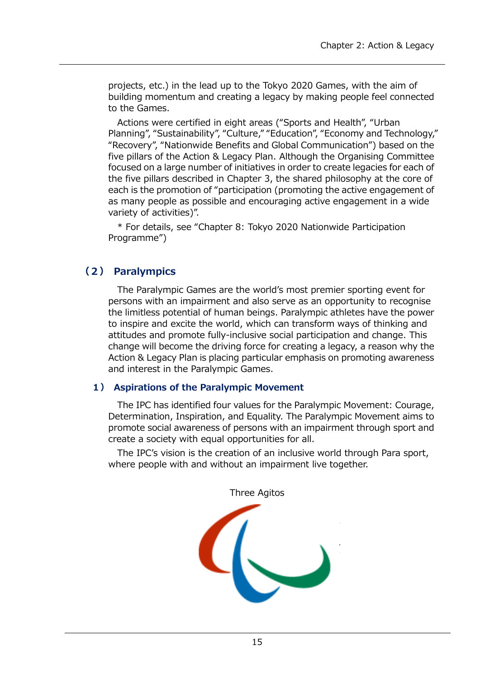projects, etc.) in the lead up to the Tokyo 2020 Games, with the aim of building momentum and creating a legacy by making people feel connected to the Games.

Actions were certified in eight areas ("Sports and Health", "Urban Planning", "Sustainability", "Culture," "Education", "Economy and Technology," "Recovery", "Nationwide Benefits and Global Communication") based on the five pillars of the Action & Legacy Plan. Although the Organising Committee focused on a large number of initiatives in order to create legacies for each of the five pillars described in Chapter 3, the shared philosophy at the core of each is the promotion of "participation (promoting the active engagement of as many people as possible and encouraging active engagement in a wide variety of activities)".

\* For details, see "Chapter 8: Tokyo 2020 Nationwide Participation Programme")

### **(2) Paralympics**

The Paralympic Games are the world's most premier sporting event for persons with an impairment and also serve as an opportunity to recognise the limitless potential of human beings. Paralympic athletes have the power to inspire and excite the world, which can transform ways of thinking and attitudes and promote fully-inclusive social participation and change. This change will become the driving force for creating a legacy, a reason why the Action & Legacy Plan is placing particular emphasis on promoting awareness and interest in the Paralympic Games.

#### **1) Aspirations of the Paralympic Movement**

The IPC has identified four values for the Paralympic Movement: Courage, Determination, Inspiration, and Equality. The Paralympic Movement aims to promote social awareness of persons with an impairment through sport and create a society with equal opportunities for all.

The IPC's vision is the creation of an inclusive world through Para sport, where people with and without an impairment live together.

Three Agitos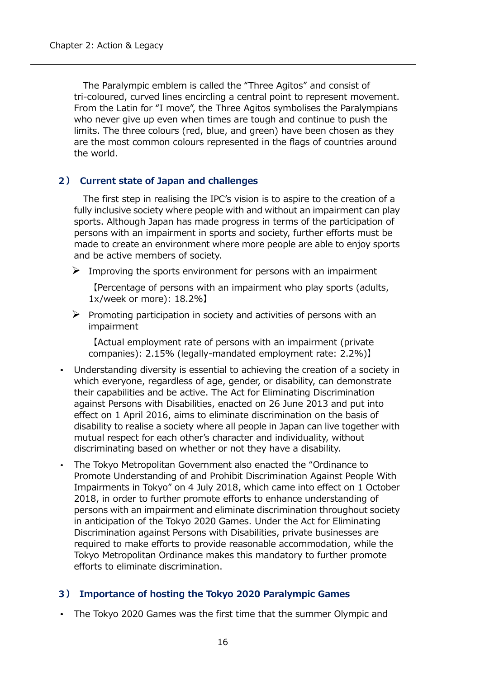The Paralympic emblem is called the "Three Agitos" and consist of tri-coloured, curved lines encircling a central point to represent movement. From the Latin for "I move", the Three Agitos symbolises the Paralympians who never give up even when times are tough and continue to push the limits. The three colours (red, blue, and green) have been chosen as they are the most common colours represented in the flags of countries around the world.

#### **2) Current state of Japan and challenges**

The first step in realising the IPC's vision is to aspire to the creation of a fully inclusive society where people with and without an impairment can play sports. Although Japan has made progress in terms of the participation of persons with an impairment in sports and society, further efforts must be made to create an environment where more people are able to enjoy sports and be active members of society.

 $\triangleright$  Improving the sports environment for persons with an impairment

【Percentage of persons with an impairment who play sports (adults, 1x/week or more): 18.2%】

 $\triangleright$  Promoting participation in society and activities of persons with an impairment

【Actual employment rate of persons with an impairment (private companies): 2.15% (legally-mandated employment rate: 2.2%)】

- Understanding diversity is essential to achieving the creation of a society in which everyone, regardless of age, gender, or disability, can demonstrate their capabilities and be active. The Act for Eliminating Discrimination against Persons with Disabilities, enacted on 26 June 2013 and put into effect on 1 April 2016, aims to eliminate discrimination on the basis of disability to realise a society where all people in Japan can live together with mutual respect for each other's character and individuality, without discriminating based on whether or not they have a disability.
- The Tokyo Metropolitan Government also enacted the "Ordinance to Promote Understanding of and Prohibit Discrimination Against People With Impairments in Tokyo" on 4 July 2018, which came into effect on 1 October 2018, in order to further promote efforts to enhance understanding of persons with an impairment and eliminate discrimination throughout society in anticipation of the Tokyo 2020 Games. Under the Act for Eliminating Discrimination against Persons with Disabilities, private businesses are required to make efforts to provide reasonable accommodation, while the Tokyo Metropolitan Ordinance makes this mandatory to further promote efforts to eliminate discrimination.

#### **3) Importance of hosting the Tokyo 2020 Paralympic Games**

The Tokyo 2020 Games was the first time that the summer Olympic and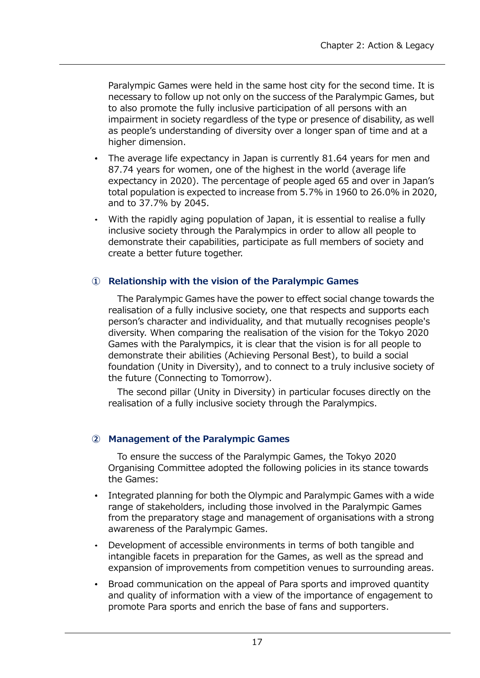Paralympic Games were held in the same host city for the second time. It is necessary to follow up not only on the success of the Paralympic Games, but to also promote the fully inclusive participation of all persons with an impairment in society regardless of the type or presence of disability, as well as people's understanding of diversity over a longer span of time and at a higher dimension.

- The average life expectancy in Japan is currently 81.64 years for men and 87.74 years for women, one of the highest in the world (average life expectancy in 2020). The percentage of people aged 65 and over in Japan's total population is expected to increase from 5.7% in 1960 to 26.0% in 2020, and to 37.7% by 2045.
- With the rapidly aging population of Japan, it is essential to realise a fully inclusive society through the Paralympics in order to allow all people to demonstrate their capabilities, participate as full members of society and create a better future together.

#### **① Relationship with the vision of the Paralympic Games**

The Paralympic Games have the power to effect social change towards the realisation of a fully inclusive society, one that respects and supports each person's character and individuality, and that mutually recognises people's diversity. When comparing the realisation of the vision for the Tokyo 2020 Games with the Paralympics, it is clear that the vision is for all people to demonstrate their abilities (Achieving Personal Best), to build a social foundation (Unity in Diversity), and to connect to a truly inclusive society of the future (Connecting to Tomorrow).

The second pillar (Unity in Diversity) in particular focuses directly on the realisation of a fully inclusive society through the Paralympics.

#### **② Management of the Paralympic Games**

To ensure the success of the Paralympic Games, the Tokyo 2020 Organising Committee adopted the following policies in its stance towards the Games:

- Integrated planning for both the Olympic and Paralympic Games with a wide range of stakeholders, including those involved in the Paralympic Games from the preparatory stage and management of organisations with a strong awareness of the Paralympic Games.
- Development of accessible environments in terms of both tangible and intangible facets in preparation for the Games, as well as the spread and expansion of improvements from competition venues to surrounding areas.
- Broad communication on the appeal of Para sports and improved quantity and quality of information with a view of the importance of engagement to promote Para sports and enrich the base of fans and supporters.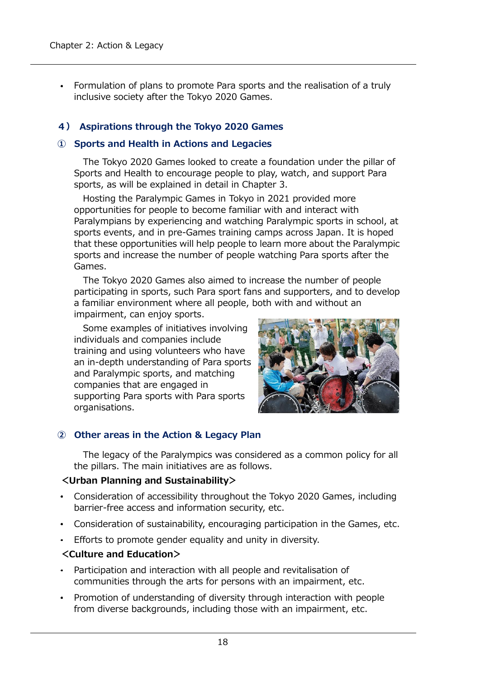Formulation of plans to promote Para sports and the realisation of a truly inclusive society after the Tokyo 2020 Games.

#### **4) Aspirations through the Tokyo 2020 Games**

#### **① Sports and Health in Actions and Legacies**

The Tokyo 2020 Games looked to create a foundation under the pillar of Sports and Health to encourage people to play, watch, and support Para sports, as will be explained in detail in Chapter 3.

Hosting the Paralympic Games in Tokyo in 2021 provided more opportunities for people to become familiar with and interact with Paralympians by experiencing and watching Paralympic sports in school, at sports events, and in pre-Games training camps across Japan. It is hoped that these opportunities will help people to learn more about the Paralympic sports and increase the number of people watching Para sports after the Games.

The Tokyo 2020 Games also aimed to increase the number of people participating in sports, such Para sport fans and supporters, and to develop a familiar environment where all people, both with and without an impairment, can enjoy sports.

Some examples of initiatives involving individuals and companies include training and using volunteers who have an in-depth understanding of Para sports and Paralympic sports, and matching companies that are engaged in supporting Para sports with Para sports organisations.



#### **② Other areas in the Action & Legacy Plan**

The legacy of the Paralympics was considered as a common policy for all the pillars. The main initiatives are as follows.

#### **<Urban Planning and Sustainability>**

- Consideration of accessibility throughout the Tokyo 2020 Games, including barrier-free access and information security, etc.
- Consideration of sustainability, encouraging participation in the Games, etc.
- Efforts to promote gender equality and unity in diversity.
- **<Culture and Education>**
- Participation and interaction with all people and revitalisation of communities through the arts for persons with an impairment, etc.
- Promotion of understanding of diversity through interaction with people from diverse backgrounds, including those with an impairment, etc.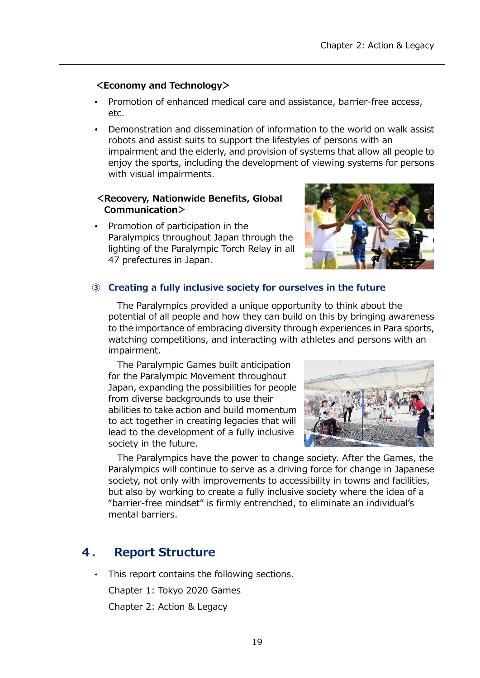#### **<Economy and Technology>**

- Promotion of enhanced medical care and assistance, barrier-free access, etc.
- Demonstration and dissemination of information to the world on walk assist robots and assist suits to support the lifestyles of persons with an impairment and the elderly, and provision of systems that allow all people to enjoy the sports, including the development of viewing systems for persons with visual impairments.

#### **<Recovery, Nationwide Benefits, Global Communication>**

Promotion of participation in the Paralympics throughout Japan through the lighting of the Paralympic Torch Relay in all 47 prefectures in Japan.



#### **③ Creating a fully inclusive society for ourselves in the future**

The Paralympics provided a unique opportunity to think about the potential of all people and how they can build on this by bringing awareness to the importance of embracing diversity through experiences in Para sports, watching competitions, and interacting with athletes and persons with an impairment.

The Paralympic Games built anticipation for the Paralympic Movement throughout Japan, expanding the possibilities for people from diverse backgrounds to use their abilities to take action and build momentum to act together in creating legacies that will lead to the development of a fully inclusive society in the future.



The Paralympics have the power to change society. After the Games, the Paralympics will continue to serve as a driving force for change in Japanese society, not only with improvements to accessibility in towns and facilities, but also by working to create a fully inclusive society where the idea of a "barrier-free mindset" is firmly entrenched, to eliminate an individual's mental barriers.

#### 4. **Report Structure**

This report contains the following sections.

Chapter 1: Tokyo 2020 Games

Chapter 2: Action & Legacy